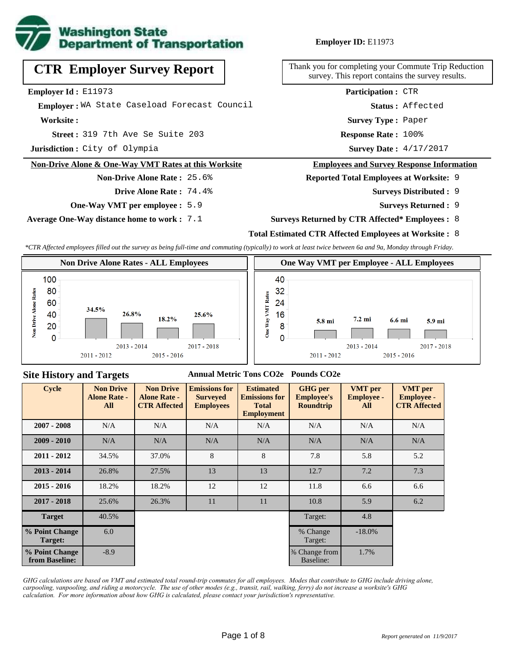

## **CTR Employer Survey Report**

**Employer Id :** E11973

 **Employer :** WA State Caseload Forecast Council

**Worksite :**

319 7th Ave Se Suite 203 **Response Rate : Street :**

**Jurisdiction :** City of Olympia

#### **Non-Drive Alone & One-Way VMT Rates at this Worksite**

**Non-Drive Alone Rate :** 25.6% **Drive Alone Rate :** 74.4%

**One-Way VMT per employee :** 5.9

**Average One-Way distance home to work :** 7.1

#### **Employer ID:** E11973

Thank you for completing your Commute Trip Reduction survey. This report contains the survey results.

> **Status :** Affected **Participation :** CTR

**Survey Type :** Paper

Response Rate: 100%

Survey Date: 4/17/2017

#### **Employees and Survey Response Information**

**Reported Total Employees at Worksite:** 9

- 9 **Surveys Distributed :**
	- **Surveys Returned :** 9
- **Surveys Returned by CTR Affected\* Employees :** 8

#### **Total Estimated CTR Affected Employees at Worksite :** 8

*\*CTR Affected employees filled out the survey as being full-time and commuting (typically) to work at least twice between 6a and 9a, Monday through Friday.*



#### **Site History and Targets**

#### **Annual Metric Tons CO2e Pounds CO2e**

| <b>Cycle</b>                     | <b>Non Drive</b><br><b>Alone Rate -</b><br>All | <b>Non Drive</b><br><b>Alone Rate -</b><br><b>CTR Affected</b> | <b>Emissions for</b><br><b>Surveyed</b><br><b>Employees</b> | <b>Estimated</b><br><b>Emissions for</b><br><b>Total</b><br><b>Employment</b> | <b>GHG</b> per<br><b>Employee's</b><br><b>Roundtrip</b> | <b>VMT</b> per<br><b>Employee -</b><br>All | <b>VMT</b> per<br><b>Employee -</b><br><b>CTR Affected</b> |
|----------------------------------|------------------------------------------------|----------------------------------------------------------------|-------------------------------------------------------------|-------------------------------------------------------------------------------|---------------------------------------------------------|--------------------------------------------|------------------------------------------------------------|
| $2007 - 2008$                    | N/A                                            | N/A                                                            | N/A                                                         | N/A                                                                           | N/A                                                     | N/A                                        | N/A                                                        |
| $2009 - 2010$                    | N/A                                            | N/A                                                            | N/A                                                         | N/A                                                                           | N/A                                                     | N/A                                        | N/A                                                        |
| $2011 - 2012$                    | 34.5%                                          | 37.0%                                                          | 8                                                           | 8                                                                             | 7.8                                                     | 5.8                                        | 5.2                                                        |
| $2013 - 2014$                    | 26.8%                                          | 27.5%                                                          | 13                                                          | 13                                                                            | 12.7                                                    | 7.2                                        | 7.3                                                        |
| $2015 - 2016$                    | 18.2%                                          | 18.2%                                                          | 12                                                          | 12                                                                            | 11.8                                                    | 6.6                                        | 6.6                                                        |
| $2017 - 2018$                    | 25.6%                                          | 26.3%                                                          | 11                                                          | 11                                                                            | 10.8                                                    | 5.9                                        | 6.2                                                        |
| <b>Target</b>                    | 40.5%                                          |                                                                |                                                             |                                                                               | Target:                                                 | 4.8                                        |                                                            |
| % Point Change<br>Target:        | 6.0                                            |                                                                |                                                             |                                                                               | % Change<br>Target:                                     | $-18.0\%$                                  |                                                            |
| % Point Change<br>from Baseline: | $-8.9$                                         |                                                                |                                                             |                                                                               | % Change from<br>Baseline:                              | 1.7%                                       |                                                            |

*GHG calculations are based on VMT and estimated total round-trip commutes for all employees. Modes that contribute to GHG include driving alone, carpooling, vanpooling, and riding a motorcycle. The use of other modes (e.g., transit, rail, walking, ferry) do not increase a worksite's GHG calculation. For more information about how GHG is calculated, please contact your jurisdiction's representative.*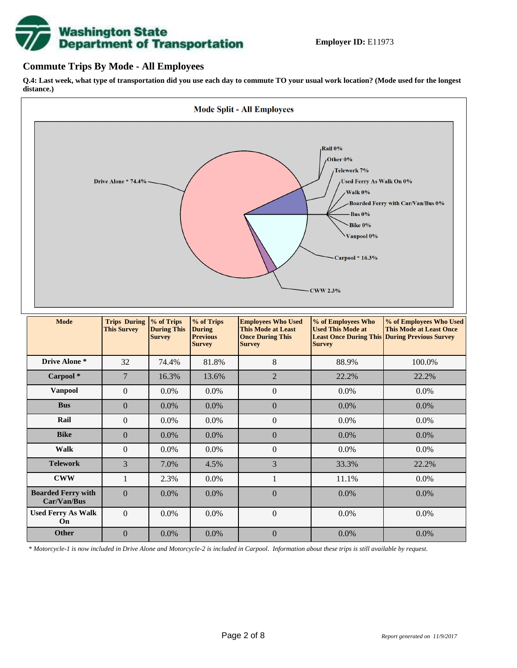# **Washington State<br>Department of Transportation**

#### **Commute Trips By Mode - All Employees**

**Q.4: Last week, what type of transportation did you use each day to commute TO your usual work location? (Mode used for the longest distance.)**



*\* Motorcycle-1 is now included in Drive Alone and Motorcycle-2 is included in Carpool. Information about these trips is still available by request.*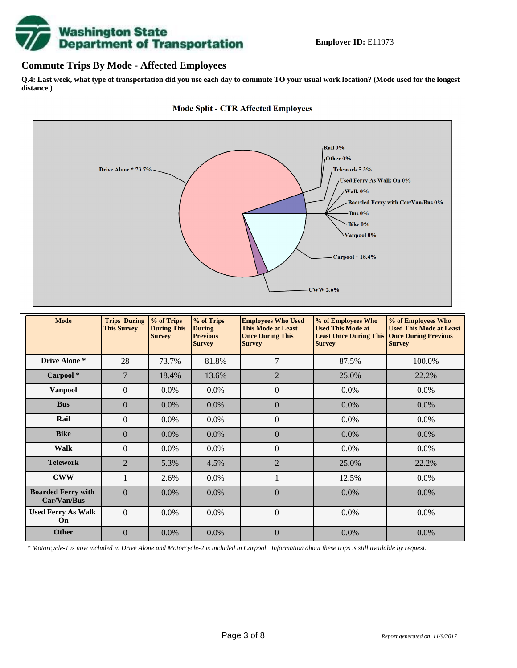

#### **Commute Trips By Mode - Affected Employees**

**Q.4: Last week, what type of transportation did you use each day to commute TO your usual work location? (Mode used for the longest distance.)**



*\* Motorcycle-1 is now included in Drive Alone and Motorcycle-2 is included in Carpool. Information about these trips is still available by request.*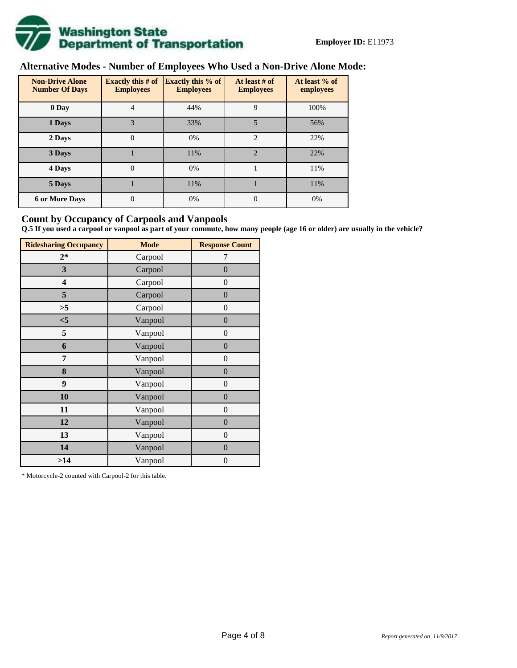

## **Alternative Modes - Number of Employees Who Used a Non-Drive Alone Mode:**

| <b>Non-Drive Alone</b><br><b>Number Of Days</b> | Exactly this $#$ of<br><b>Employees</b> | <b>Exactly this % of</b><br><b>Employees</b> | At least # of<br><b>Employees</b> | At least % of<br>employees |  |
|-------------------------------------------------|-----------------------------------------|----------------------------------------------|-----------------------------------|----------------------------|--|
| 0 Day                                           | 4                                       | 44%                                          | 9                                 | 100%                       |  |
| 1 Days                                          | 3                                       | 33%                                          | 5                                 | 56%                        |  |
| 2 Days                                          | $\mathbf{0}$                            | 0%                                           | $\overline{2}$                    | 22%                        |  |
| 3 Days                                          |                                         | 11%                                          | $\mathfrak{D}$                    | 22%                        |  |
| 4 Days                                          | $\theta$                                | 0%                                           |                                   | 11%                        |  |
| 5 Days                                          |                                         | 11%                                          |                                   | 11%                        |  |
| <b>6 or More Days</b>                           | 0                                       | 0%                                           | $\theta$                          | 0%                         |  |

#### **Count by Occupancy of Carpools and Vanpools**

**Q.5 If you used a carpool or vanpool as part of your commute, how many people (age 16 or older) are usually in the vehicle?**

| <b>Ridesharing Occupancy</b> | <b>Mode</b> | <b>Response Count</b> |
|------------------------------|-------------|-----------------------|
| $2*$                         | Carpool     | 7                     |
| 3                            | Carpool     | $\boldsymbol{0}$      |
| 4                            | Carpool     | $\boldsymbol{0}$      |
| 5                            | Carpool     | $\boldsymbol{0}$      |
| >5                           | Carpool     | $\overline{0}$        |
| $<$ 5                        | Vanpool     | $\overline{0}$        |
| 5                            | Vanpool     | $\overline{0}$        |
| 6                            | Vanpool     | $\boldsymbol{0}$      |
| 7                            | Vanpool     | $\overline{0}$        |
| 8                            | Vanpool     | $\boldsymbol{0}$      |
| 9                            | Vanpool     | $\overline{0}$        |
| 10                           | Vanpool     | $\overline{0}$        |
| 11                           | Vanpool     | $\boldsymbol{0}$      |
| 12                           | Vanpool     | $\boldsymbol{0}$      |
| 13                           | Vanpool     | $\boldsymbol{0}$      |
| 14                           | Vanpool     | $\overline{0}$        |
| >14                          | Vanpool     | $\boldsymbol{0}$      |

\* Motorcycle-2 counted with Carpool-2 for this table.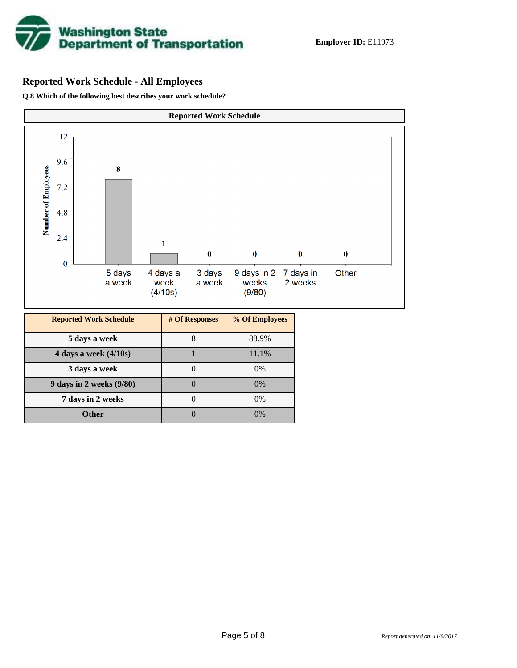

## **Reported Work Schedule - All Employees**

**Q.8 Which of the following best describes your work schedule?**

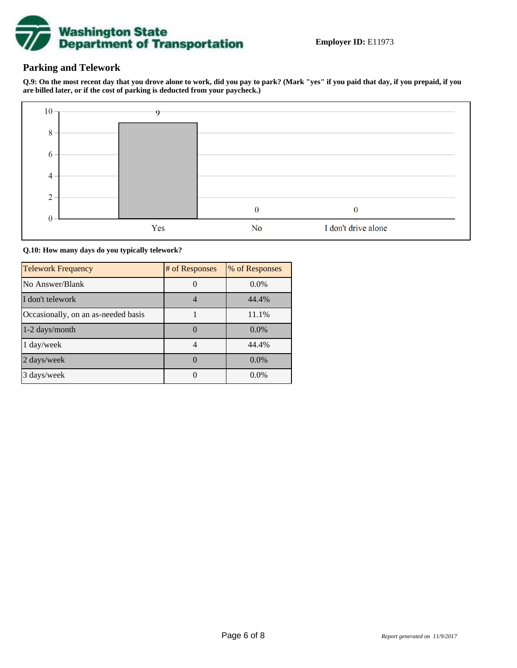

### **Parking and Telework**

**Q.9: On the most recent day that you drove alone to work, did you pay to park? (Mark "yes" if you paid that day, if you prepaid, if you are billed later, or if the cost of parking is deducted from your paycheck.)**



**Q.10: How many days do you typically telework?**

| <b>Telework Frequency</b>           | # of Responses | % of Responses |
|-------------------------------------|----------------|----------------|
| No Answer/Blank                     |                | $0.0\%$        |
| I don't telework                    |                | 44.4%          |
| Occasionally, on an as-needed basis |                | 11.1%          |
| 1-2 days/month                      |                | $0.0\%$        |
| 1 day/week                          |                | 44.4%          |
| 2 days/week                         |                | $0.0\%$        |
| 3 days/week                         |                | $0.0\%$        |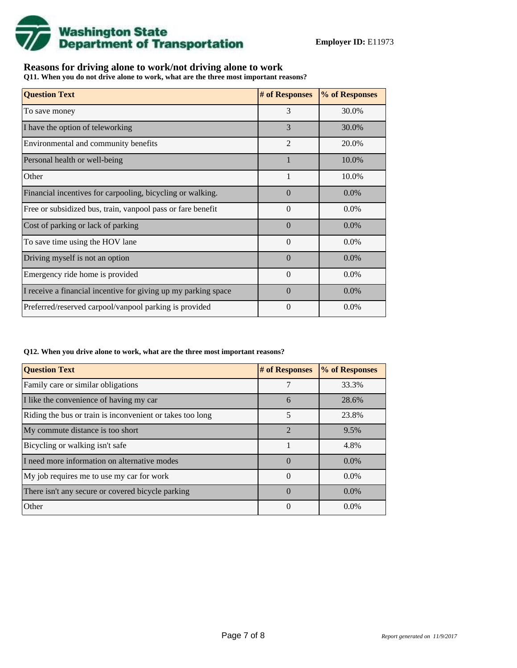

## **Reasons for driving alone to work/not driving alone to work**

**Q11. When you do not drive alone to work, what are the three most important reasons?**

| <b>Question Text</b>                                           | # of Responses | % of Responses |
|----------------------------------------------------------------|----------------|----------------|
| To save money                                                  | 3              | 30.0%          |
| I have the option of teleworking                               | 3              | 30.0%          |
| Environmental and community benefits                           | $\overline{2}$ | 20.0%          |
| Personal health or well-being                                  |                | 10.0%          |
| Other                                                          | $\mathbf{1}$   | 10.0%          |
| Financial incentives for carpooling, bicycling or walking.     | $\Omega$       | $0.0\%$        |
| Free or subsidized bus, train, vanpool pass or fare benefit    | $\Omega$       | $0.0\%$        |
| Cost of parking or lack of parking                             | $\Omega$       | $0.0\%$        |
| To save time using the HOV lane                                | $\theta$       | 0.0%           |
| Driving myself is not an option                                | $\Omega$       | $0.0\%$        |
| Emergency ride home is provided                                | $\theta$       | 0.0%           |
| I receive a financial incentive for giving up my parking space | $\Omega$       | $0.0\%$        |
| Preferred/reserved carpool/vanpool parking is provided         | $\Omega$       | $0.0\%$        |

#### **Q12. When you drive alone to work, what are the three most important reasons?**

| <b>Question Text</b>                                      | # of Responses | % of Responses |  |  |
|-----------------------------------------------------------|----------------|----------------|--|--|
| Family care or similar obligations                        | 7              | 33.3%          |  |  |
| I like the convenience of having my car                   | 6              | 28.6%          |  |  |
| Riding the bus or train is inconvenient or takes too long | 5              | 23.8%          |  |  |
| My commute distance is too short                          | $\mathfrak{D}$ | 9.5%           |  |  |
| Bicycling or walking isn't safe                           |                | 4.8%           |  |  |
| I need more information on alternative modes              | $\Omega$       | $0.0\%$        |  |  |
| My job requires me to use my car for work                 | $\Omega$       | $0.0\%$        |  |  |
| There isn't any secure or covered bicycle parking         | $\Omega$       | $0.0\%$        |  |  |
| Other                                                     | $\theta$       | $0.0\%$        |  |  |